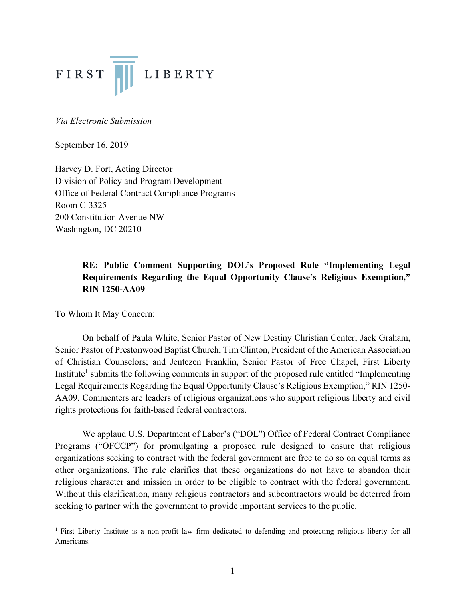

*Via Electronic Submission*

September 16, 2019

Harvey D. Fort, Acting Director Division of Policy and Program Development Office of Federal Contract Compliance Programs Room C-3325 200 Constitution Avenue NW Washington, DC 20210

# **RE: Public Comment Supporting DOL's Proposed Rule "Implementing Legal Requirements Regarding the Equal Opportunity Clause's Religious Exemption," RIN 1250-AA09**

To Whom It May Concern:

On behalf of Paula White, Senior Pastor of New Destiny Christian Center; Jack Graham, Senior Pastor of Prestonwood Baptist Church; Tim Clinton, President of the American Association of Christian Counselors; and Jentezen Franklin, Senior Pastor of Free Chapel, First Liberty Institute<sup>1</sup> submits the following comments in support of the proposed rule entitled "Implementing" Legal Requirements Regarding the Equal Opportunity Clause's Religious Exemption," RIN 1250- AA09. Commenters are leaders of religious organizations who support religious liberty and civil rights protections for faith-based federal contractors.

We applaud U.S. Department of Labor's ("DOL") Office of Federal Contract Compliance Programs ("OFCCP") for promulgating a proposed rule designed to ensure that religious organizations seeking to contract with the federal government are free to do so on equal terms as other organizations. The rule clarifies that these organizations do not have to abandon their religious character and mission in order to be eligible to contract with the federal government. Without this clarification, many religious contractors and subcontractors would be deterred from seeking to partner with the government to provide important services to the public.

<sup>&</sup>lt;sup>1</sup> First Liberty Institute is a non-profit law firm dedicated to defending and protecting religious liberty for all Americans.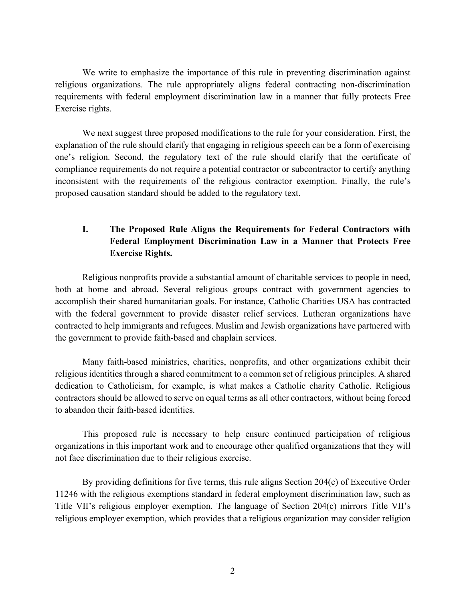We write to emphasize the importance of this rule in preventing discrimination against religious organizations. The rule appropriately aligns federal contracting non-discrimination requirements with federal employment discrimination law in a manner that fully protects Free Exercise rights.

We next suggest three proposed modifications to the rule for your consideration. First, the explanation of the rule should clarify that engaging in religious speech can be a form of exercising one's religion. Second, the regulatory text of the rule should clarify that the certificate of compliance requirements do not require a potential contractor or subcontractor to certify anything inconsistent with the requirements of the religious contractor exemption. Finally, the rule's proposed causation standard should be added to the regulatory text.

# **I. The Proposed Rule Aligns the Requirements for Federal Contractors with Federal Employment Discrimination Law in a Manner that Protects Free Exercise Rights.**

Religious nonprofits provide a substantial amount of charitable services to people in need, both at home and abroad. Several religious groups contract with government agencies to accomplish their shared humanitarian goals. For instance, Catholic Charities USA has contracted with the federal government to provide disaster relief services. Lutheran organizations have contracted to help immigrants and refugees. Muslim and Jewish organizations have partnered with the government to provide faith-based and chaplain services.

Many faith-based ministries, charities, nonprofits, and other organizations exhibit their religious identities through a shared commitment to a common set of religious principles. A shared dedication to Catholicism, for example, is what makes a Catholic charity Catholic. Religious contractors should be allowed to serve on equal terms as all other contractors, without being forced to abandon their faith-based identities.

This proposed rule is necessary to help ensure continued participation of religious organizations in this important work and to encourage other qualified organizations that they will not face discrimination due to their religious exercise.

By providing definitions for five terms, this rule aligns Section 204(c) of Executive Order 11246 with the religious exemptions standard in federal employment discrimination law, such as Title VII's religious employer exemption. The language of Section 204(c) mirrors Title VII's religious employer exemption, which provides that a religious organization may consider religion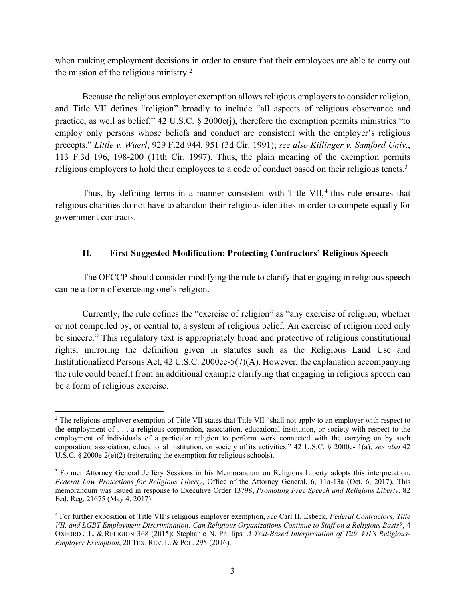when making employment decisions in order to ensure that their employees are able to carry out the mission of the religious ministry.2

Because the religious employer exemption allows religious employers to consider religion, and Title VII defines "religion" broadly to include "all aspects of religious observance and practice, as well as belief," 42 U.S.C. § 2000e(j), therefore the exemption permits ministries "to employ only persons whose beliefs and conduct are consistent with the employer's religious precepts." *Little v. Wuerl*, 929 F.2d 944, 951 (3d Cir. 1991); *see also Killinger v. Samford Univ.*, 113 F.3d 196, 198-200 (11th Cir. 1997). Thus, the plain meaning of the exemption permits religious employers to hold their employees to a code of conduct based on their religious tenets.3

Thus, by defining terms in a manner consistent with Title VII, $4$  this rule ensures that religious charities do not have to abandon their religious identities in order to compete equally for government contracts.

### **II. First Suggested Modification: Protecting Contractors' Religious Speech**

The OFCCP should consider modifying the rule to clarify that engaging in religious speech can be a form of exercising one's religion.

Currently, the rule defines the "exercise of religion" as "any exercise of religion, whether or not compelled by, or central to, a system of religious belief. An exercise of religion need only be sincere." This regulatory text is appropriately broad and protective of religious constitutional rights, mirroring the definition given in statutes such as the Religious Land Use and Institutionalized Persons Act, 42 U.S.C. 2000cc-5(7)(A). However, the explanation accompanying the rule could benefit from an additional example clarifying that engaging in religious speech can be a form of religious exercise.

<sup>&</sup>lt;sup>2</sup> The religious employer exemption of Title VII states that Title VII "shall not apply to an employer with respect to the employment of . . . a religious corporation, association, educational institution, or society with respect to the employment of individuals of a particular religion to perform work connected with the carrying on by such corporation, association, educational institution, or society of its activities." 42 U.S.C. § 2000e- 1(a); *see also* 42 U.S.C. § 2000e-2(e)(2) (reiterating the exemption for religious schools).

<sup>3</sup> Former Attorney General Jeffery Sessions in his Memorandum on Religious Liberty adopts this interpretation. *Federal Law Protections for Religious Liberty*, Office of the Attorney General, 6, 11a-13a (Oct. 6, 2017). This memorandum was issued in response to Executive Order 13798, *Promoting Free Speech and Religious Liberty*, 82 Fed. Reg. 21675 (May 4, 2017).

<sup>4</sup> For further exposition of Title VII's religious employer exemption, *see* Carl H. Esbeck, *Federal Contractors, Title VII, and LGBT Employment Discrimination: Can Religious Organizations Continue to Staff on a Religious Basis?*, 4 OXFORD J.L. & RELIGION 368 (2015); Stephanie N. Phillips, *A Text-Based Interpretation of Title VII's Religious-Employer Exemption*, 20 TEX. REV. L. & POL. 295 (2016).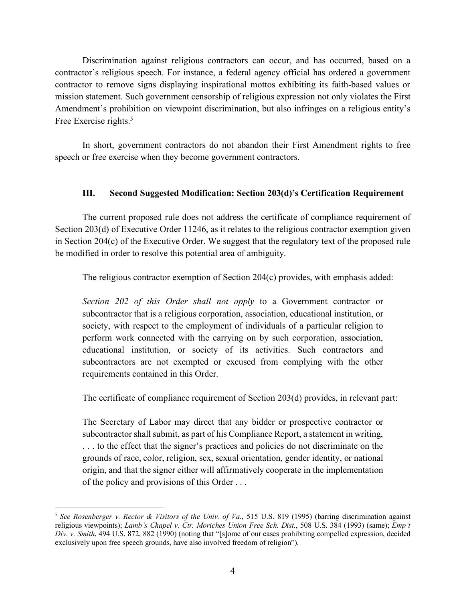Discrimination against religious contractors can occur, and has occurred, based on a contractor's religious speech. For instance, a federal agency official has ordered a government contractor to remove signs displaying inspirational mottos exhibiting its faith-based values or mission statement. Such government censorship of religious expression not only violates the First Amendment's prohibition on viewpoint discrimination, but also infringes on a religious entity's Free Exercise rights.<sup>5</sup>

In short, government contractors do not abandon their First Amendment rights to free speech or free exercise when they become government contractors.

## **III. Second Suggested Modification: Section 203(d)'s Certification Requirement**

The current proposed rule does not address the certificate of compliance requirement of Section 203(d) of Executive Order 11246, as it relates to the religious contractor exemption given in Section 204(c) of the Executive Order. We suggest that the regulatory text of the proposed rule be modified in order to resolve this potential area of ambiguity.

The religious contractor exemption of Section 204(c) provides, with emphasis added:

*Section 202 of this Order shall not apply* to a Government contractor or subcontractor that is a religious corporation, association, educational institution, or society, with respect to the employment of individuals of a particular religion to perform work connected with the carrying on by such corporation, association, educational institution, or society of its activities. Such contractors and subcontractors are not exempted or excused from complying with the other requirements contained in this Order.

The certificate of compliance requirement of Section 203(d) provides, in relevant part:

The Secretary of Labor may direct that any bidder or prospective contractor or subcontractor shall submit, as part of his Compliance Report, a statement in writing, . . . to the effect that the signer's practices and policies do not discriminate on the grounds of race, color, religion, sex, sexual orientation, gender identity, or national origin, and that the signer either will affirmatively cooperate in the implementation of the policy and provisions of this Order . . .

 <sup>5</sup> *See Rosenberger v. Rector & Visitors of the Univ. of Va.*, 515 U.S. 819 (1995) (barring discrimination against religious viewpoints); *Lamb's Chapel v. Ctr. Moriches Union Free Sch. Dist.*, 508 U.S. 384 (1993) (same); *Emp't Div. v. Smith*, 494 U.S. 872, 882 (1990) (noting that "[s]ome of our cases prohibiting compelled expression, decided exclusively upon free speech grounds, have also involved freedom of religion").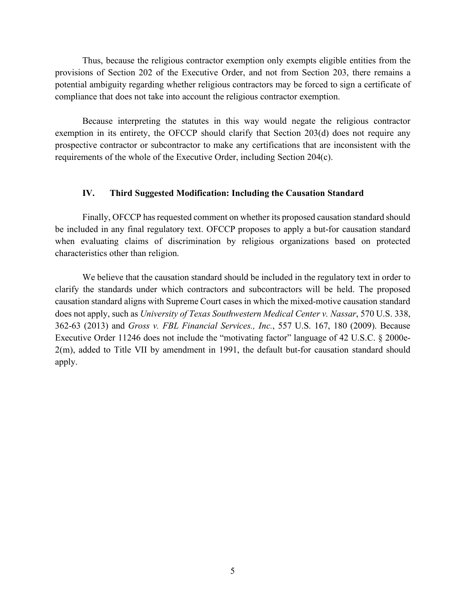Thus, because the religious contractor exemption only exempts eligible entities from the provisions of Section 202 of the Executive Order, and not from Section 203, there remains a potential ambiguity regarding whether religious contractors may be forced to sign a certificate of compliance that does not take into account the religious contractor exemption.

Because interpreting the statutes in this way would negate the religious contractor exemption in its entirety, the OFCCP should clarify that Section 203(d) does not require any prospective contractor or subcontractor to make any certifications that are inconsistent with the requirements of the whole of the Executive Order, including Section 204(c).

### **IV. Third Suggested Modification: Including the Causation Standard**

Finally, OFCCP has requested comment on whether its proposed causation standard should be included in any final regulatory text. OFCCP proposes to apply a but-for causation standard when evaluating claims of discrimination by religious organizations based on protected characteristics other than religion.

We believe that the causation standard should be included in the regulatory text in order to clarify the standards under which contractors and subcontractors will be held. The proposed causation standard aligns with Supreme Court cases in which the mixed-motive causation standard does not apply, such as *University of Texas Southwestern Medical Center v. Nassar*, 570 U.S. 338, 362-63 (2013) and *Gross v. FBL Financial Services., Inc.*, 557 U.S. 167, 180 (2009). Because Executive Order 11246 does not include the "motivating factor" language of 42 U.S.C. § 2000e-2(m), added to Title VII by amendment in 1991, the default but-for causation standard should apply.